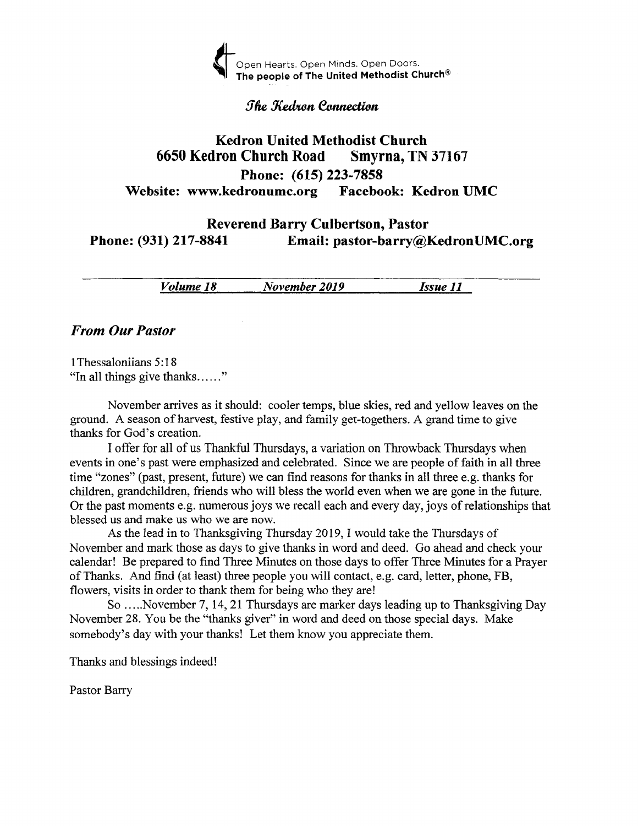

#### *The Kedron Connection*

# Kedron United Methodist Church <sup>6650</sup>Kedron Church Road Smyrna, TN <sup>37167</sup> Phone: (615) 223-7858 Website: www.kedronumc.org Facebook: Kedron UMC

# Reverend Barry Culbertson, Pastor Phone: (931) 217-8841 Email: pastor-barry@KedronUMC.org

| Volume 18 | November 2019 | Issue II |
|-----------|---------------|----------|
|           | ____          |          |

#### From Our Pastor

l Thessaloniians 5:1 8 "In all things give thanks......"

November arrives as it should: cooler temps, blue skies, red and yellow leaves on the ground. A season of harvest, festive play, and family get-togethers. A grand time to give thanks for God's creation.

I offer for all of us Thankful Thursdays, a variation on Throwback Thursdays when events in one's past were emphasized and celebrated. Since we are people of faith in all three time "zones" (past, present, future) we can find reasons for thanks in all three e.g. thanks for children, grandchildren, friends who will bless the world even when we are gone in the future. Or the past moments e.g. numerous joys we recall each and every day, joys of relationships that blessed us and make us who we are now.

As the lead in to Thanksgiving Thursday 2019, I would take the Thursdays of November and mark those as days to give thanks in word and deed. Go ahead and check your calendar! Be prepared to find Three Minutes on those days to offer Three Minutes for a Prayer of Thanks. And find (at least) three people you will contact, e.g. card, letter, phone, FB, flowers, visits in order to thank them for being who they are!

So .....November 7, 14, 21 Thursdays are marker days leading up to Thanksgiving Day November 28. You be the "thanks giver" in word and deed on those special days. Make somebody's day with your thanks! Let them know you appreciate them.

Thanks and blessings indeed!

Pastor Barry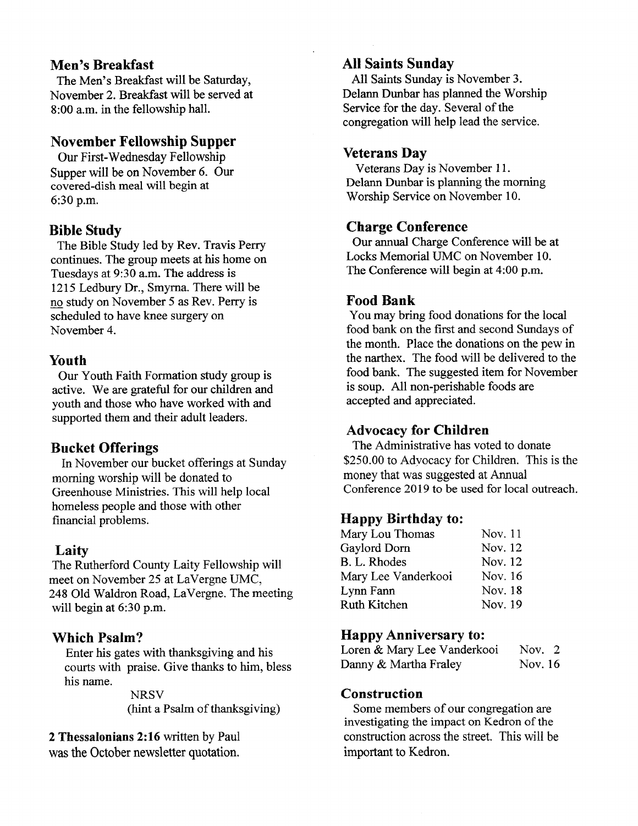### Men's Breakfast

The Men's Breakfast will be Saturday, November 2. Breakfast will be served at 8:00 a.m. in the fellowship hall.

## November Fellowship Supper

Our First-\Mednesday Fellowship Supper will be on November 6. Our covered-dish meal will begin at 6:30 p.m.

#### Bible Study

The Bible Study led by Rev. Travis Perry continues. The group meets at his home on Tuesdays at 9:30 a.m. The address is 1215 Ledbury Dr., Smyrna. There will be no study on November 5 as Rev. Perry is scheduled to have knee surgery on November 4.

# Youth

Our Youth Faith Formation study group is active. We are grateful for our children and youth and those who have worked with and supported them and their adult leaders.

#### Bucket Offerings

In November our bucket offerings at Sunday moming worship will be donated to Greenhouse Ministries. This will help local homeless people and those with other financial problems.

# Laity

The Rutherford County Laity Fellowship will meet on November 25 at LaVergne UMC, 248 Old Waldron Road, LaVergne. The meeting will begin at 6:30 p.m.

# Which Psalm?

Enter his gates with thanksgiving and his courts with praise. Give thanks to him, bless his name.

> **NRSV** (hint a Psalm of thanksgiving)

2 Thessalonians 2:16 written by Paul

was the October newsletter quotation.

# AII Saints Sunday

All Saints Sunday is November 3. Delann Dunbar has planned the Worship Service for the day. Several of the congregation will help lead the service.

#### Veterans Day

Veterans Day is November 11. Delann Dunbar is planning the morning Worship Service on November 10.

# Charge Conference

Our annual Charge Conference will be at Locks Memorial UMC on November 10. The Conference will begin at 4:00 p.m.

# Food Bank

You may bring food donations for the local food bank on the first and second Sundays of the month. Place the donations on the pew in the narthex. The food will be delivered to the food bank. The suggested item for November is soup. All non-perishable foods are accepted and appreciated.

# Advocacy for Children

The Administrative has voted to donate \$250.00 to Advocacy for Children. This is the money that was suggested at Annual Conference 2019 to be used for local outreach.

#### Happy Birthday to:

| Nov. 11 |
|---------|
| Nov. 12 |
| Nov. 12 |
| Nov. 16 |
| Nov. 18 |
| Nov. 19 |
|         |

#### Happy Anniversary to:

| Loren & Mary Lee Vanderkooi | Nov. $2$ |  |
|-----------------------------|----------|--|
| Danny & Martha Fraley       | Nov. 16  |  |

#### **Construction**

Some members of our congregation are investigating the impact on Kedron of the consfruction across the street. This will be important to Kedron.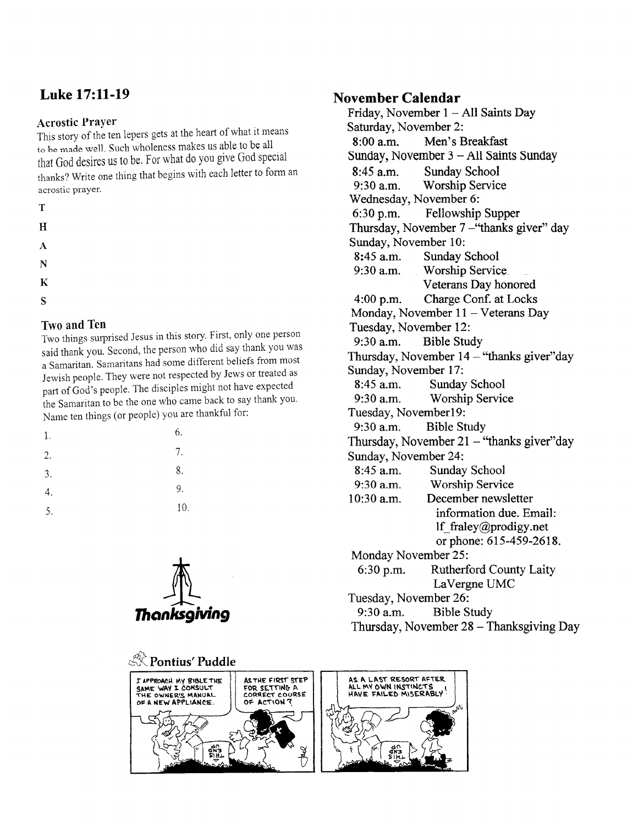# Luke 17:ll-19

#### Acrostic PraYer

This story of the ten lepers gets at the heart of what it means to be made well. Such wholeness makes us able to be all that God desires us to be, For what do you give God Special thanks? Write one thing that begins with each letter to form an acrostic prayer.

| I<br>٠<br>× |     |  |
|-------------|-----|--|
|             |     |  |
|             | . . |  |
|             |     |  |

- H
- A
- N
- K
- S

# Two and Ten

Two things surprised Jesus in this story. First, only one person said thank you. Second, the person who did say thank you was <sup>a</sup>Samaritan. Samaritans had some different beliefs from most Jewish people. They were not respected by Jews or treated as part of God's people. The disciples might not have expected the Samaritan to be the one who came back to say thank you. Name ten things (or people) you are thankful for:

| 1. | 6.  |
|----|-----|
| 2. | 7.  |
| 3. | 8.  |
| 4. | 9.  |
| 5. | 10. |



#### November Calendar

Friday, November  $1 - All$  Saints Day Safurday, November 2: 8:00 a.m. Men's Breakfast Sunday, November  $3 - All$  Saints Sunday 8:45 a.m. Sunday School<br>9:30 a.m. Worship Servic Worship Service Wednesday, November 6: 6:30 p.m. Fellowship Supper Thursday, November 7 - "thanks giver" day Sunday, November 10: 8:45 a.m. Sunday School<br>9:30 a.m. Worship Servic Worship Service Veterans Day honored 4:00 p.m. Charge Conf. at Locks Monday, November 11 - Veterans Day Tuesday, November 12: 9:30 a.m. Bible Study Thursday, November  $14 -$  "thanks giver" day Sunday, November 17: 8:45 a.m. Sunday School<br>9:30 a.m. Worship Servic Worship Service Tuesday, Novemberl9: 9:30 a.m. Bible Study Thursday, November  $21 -$  "thanks giver" day Sunday, November 24: 8:45 a.m. Sunday School 9:30 a.m. Worship Service 10:30 a.m. December newsletter information due. Email: lf\_fraley@prodigy.net or phone: 615-459-2618. Monday November 25: 6:30 p.m. Rutherford County Laity LaVergne UMC Tuesday, November 26: 9:30 a.m. Bible Study Thursday, November 28 - Thanksgiving Day